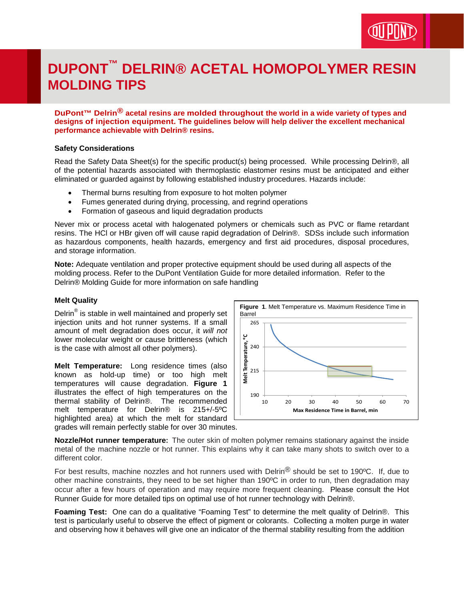# **DUPONT™ DELRIN® ACETAL HOMOPOLYMER RESIN MOLDING TIPS**

**DuPont™ Delrin® acetal resins are molded throughout the world in a wide variety of types and designs of injection equipment. The guidelines below will help deliver the excellent mechanical performance achievable with Delrin® resins.** 

#### **Safety Considerations**

Read the Safety Data Sheet(s) for the specific product(s) being processed. While processing Delrin®, all of the potential hazards associated with thermoplastic elastomer resins must be anticipated and either eliminated or guarded against by following established industry procedures. Hazards include:

- Thermal burns resulting from exposure to hot molten polymer
- Fumes generated during drying, processing, and regrind operations
- Formation of gaseous and liquid degradation products

Never mix or process acetal with halogenated polymers or chemicals such as PVC or flame retardant resins. The HCl or HBr given off will cause rapid degradation of Delrin®. SDSs include such information as hazardous components, health hazards, emergency and first aid procedures, disposal procedures, and storage information.

**Note:** Adequate ventilation and proper protective equipment should be used during all aspects of the molding process. Refer to the DuPont Ventilation Guide for more detailed information. Refer to the Delrin® Molding Guide for more information on safe handling

#### **Melt Quality**

Delrin® is stable in well maintained and properly set injection units and hot runner systems. If a small amount of melt degradation does occur, it *will not* lower molecular weight or cause brittleness (which is the case with almost all other polymers).

**Melt Temperature:** Long residence times (also known as hold-up time) or too high melt temperatures will cause degradation. **Figure 1** illustrates the effect of high temperatures on the thermal stability of Delrin®. The recommended melt temperature for Delrin® is 215+/-5ºC highlighted area) at which the melt for standard grades will remain perfectly stable for over 30 minutes.



**Nozzle/Hot runner temperature:** The outer skin of molten polymer remains stationary against the inside metal of the machine nozzle or hot runner. This explains why it can take many shots to switch over to a different color.

For best results, machine nozzles and hot runners used with Delrin<sup>®</sup> should be set to 190°C. If, due to other machine constraints, they need to be set higher than 190ºC in order to run, then degradation may occur after a few hours of operation and may require more frequent cleaning. Please consult the Hot Runner Guide for more detailed tips on optimal use of hot runner technology with Delrin®.

**Foaming Test:** One can do a qualitative "Foaming Test" to determine the melt quality of Delrin®. This test is particularly useful to observe the effect of pigment or colorants. Collecting a molten purge in water and observing how it behaves will give one an indicator of the thermal stability resulting from the addition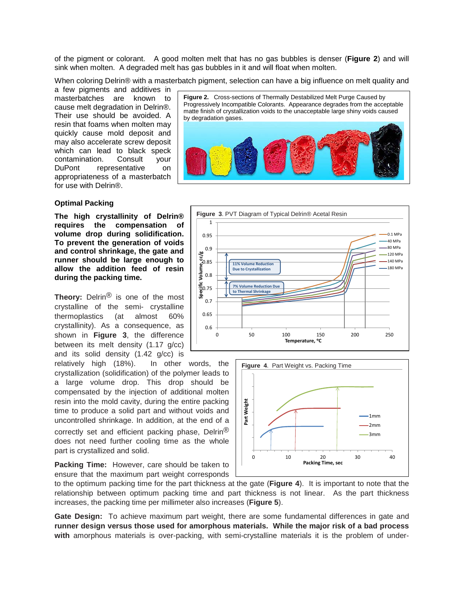of the pigment or colorant. A good molten melt that has no gas bubbles is denser (**Figure 2**) and will sink when molten. A degraded melt has gas bubbles in it and will float when molten.

When coloring Delrin® with a masterbatch pigment, selection can have a big influence on melt quality and

a few pigments and additives in masterbatches are known to cause melt degradation in Delrin®. Their use should be avoided. A resin that foams when molten may quickly cause mold deposit and may also accelerate screw deposit which can lead to black speck contamination. Consult your DuPont representative on appropriateness of a masterbatch for use with Delrin®.

### **Optimal Packing**

**The high crystallinity of Delrin®**  compensation of **volume drop during solidification. To prevent the generation of voids and control shrinkage, the gate and runner should be large enough to allow the addition feed of resin during the packing time.**

**Theory:** Delrin® is one of the most crystalline of the semi- crystalline thermoplastics (at almost 60% crystallinity). As a consequence, as shown in **Figure 3**, the difference between its melt density (1.17 g/cc) and its solid density (1.42 g/cc) is

relatively high (18%). In other words, the crystallization (solidification) of the polymer leads to a large volume drop. This drop should be compensated by the injection of additional molten resin into the mold cavity, during the entire packing time to produce a solid part and without voids and uncontrolled shrinkage. In addition, at the end of a correctly set and efficient packing phase, Delrin® does not need further cooling time as the whole part is crystallized and solid.

**Packing Time:** However, care should be taken to ensure that the maximum part weight corresponds

**Figure 2.** Cross-sections of Thermally Destabilized Melt Purge Caused by Progressively Incompatible Colorants. Appearance degrades from the acceptable matte finish of crystallization voids to the unacceptable large shiny voids caused by degradation gases.





to the optimum packing time for the part thickness at the gate (**Figure 4**). It is important to note that the relationship between optimum packing time and part thickness is not linear. As the part thickness increases, the packing time per millimeter also increases (**Figure 5**).

**Gate Design:** To achieve maximum part weight, there are some fundamental differences in gate and **runner design versus those used for amorphous materials. While the major risk of a bad process with** amorphous materials is over-packing, with semi-crystalline materials it is the problem of under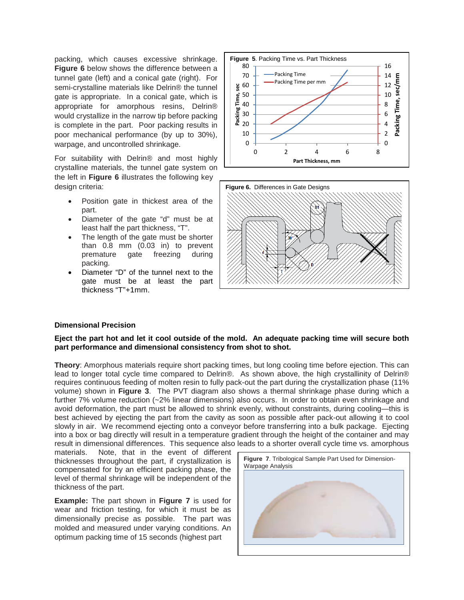packing, which causes excessive shrinkage. **Figure 6** below shows the difference between a tunnel gate (left) and a conical gate (right). For semi-crystalline materials like Delrin® the tunnel gate is appropriate. In a conical gate, which is appropriate for amorphous resins, Delrin® would crystallize in the narrow tip before packing is complete in the part. Poor packing results in poor mechanical performance (by up to 30%), warpage, and uncontrolled shrinkage.

For suitability with Delrin® and most highly crystalline materials, the tunnel gate system on the left in **Figure 6** illustrates the following key design criteria:

- Position gate in thickest area of the part.
- Diameter of the gate "d" must be at least half the part thickness, "T".
- The length of the gate must be shorter than 0.8 mm (0.03 in) to prevent<br>premature gate freezing during premature gate freezing during packing.
- Diameter "D" of the tunnel next to the gate must be at least the part thickness "T"+1mm.





### **Dimensional Precision**

### **Eject the part hot and let it cool outside of the mold. An adequate packing time will secure both part performance and dimensional consistency from shot to shot.**

**Theory:** Amorphous materials require short packing times, but long cooling time before ejection. This can lead to longer total cycle time compared to Delrin®. As shown above, the high crystallinity of Delrin® requires continuous feeding of molten resin to fully pack-out the part during the crystallization phase (11% volume) shown in **Figure 3**. The PVT diagram also shows a thermal shrinkage phase during which a further 7% volume reduction (~2% linear dimensions) also occurs. In order to obtain even shrinkage and avoid deformation, the part must be allowed to shrink evenly, without constraints, during cooling—this is best achieved by ejecting the part from the cavity as soon as possible after pack-out allowing it to cool slowly in air. We recommend ejecting onto a conveyor before transferring into a bulk package. Ejecting into a box or bag directly will result in a temperature gradient through the height of the container and may result in dimensional differences. This sequence also leads to a shorter overall cycle time vs. amorphous

materials. Note, that in the event of different thicknesses throughout the part, if crystallization is compensated for by an efficient packing phase, the level of thermal shrinkage will be independent of the thickness of the part.

**Example:** The part shown in **Figure 7** is used for wear and friction testing, for which it must be as dimensionally precise as possible. The part was molded and measured under varying conditions. An optimum packing time of 15 seconds (highest part